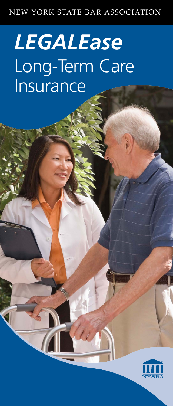#### NEW YORK STATE BAR ASSOCIATION

# *LEGALEase* Long-Term Care Insurance

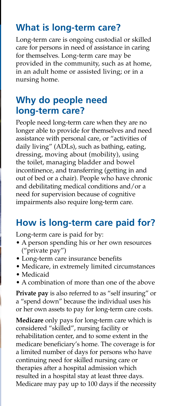#### **What is long-term care?**

Long-term care is ongoing custodial or skilled care for persons in need of assistance in caring for themselves. Long-term care may be provided in the community, such as at home, in an adult home or assisted living; or in a nursing home.

# **Why do people need long-term care?**

People need long-term care when they are no longer able to provide for themselves and need assistance with personal care, or "activities of daily living" (ADLs), such as bathing, eating, dressing, moving about (mobility), using the toilet, managing bladder and bowel incontinence, and transferring (getting in and out of bed or a chair). People who have chronic and debilitating medical conditions and/or a need for supervision because of cognitive impairments also require long-term care.

# **How is long-term care paid for?**

Long-term care is paid for by:

- A person spending his or her own resources ("private pay")
- Long-term care insurance benefits
- Medicare, in extremely limited circumstances
- Medicaid
- A combination of more than one of the above

**Private pay** is also referred to as "self insuring" or a "spend down" because the individual uses his or her own assets to pay for long-term care costs.

**Medicare** only pays for long-term care which is considered "skilled", nursing facility or rehabilitation center, and to some extent in the medicare beneficiary's home. The coverage is for a limited number of days for persons who have continuing need for skilled nursing care or therapies after a hospital admission which resulted in a hospital stay at least three days. Medicare may pay up to 100 days if the necessity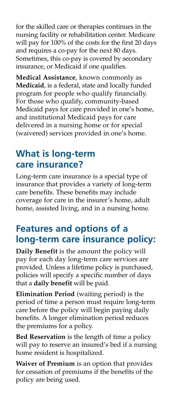for the skilled care or therapies continues in the nursing facility or rehabilitation center. Medicare will pay for 100% of the costs for the first 20 days and requires a co-pay for the next 80 days. Sometimes, this co-pay is covered by secondary insurance, or Medicaid if one qualifies.

**Medical Assistance**, known commonly as **Medicaid**, is a federal, state and locally funded program for people who qualify financially. For those who qualify, community-based Medicaid pays for care provided in one's home, and institutional Medicaid pays for care delivered in a nursing home or for special (waivered) services provided in one's home.

# **What is long-term care insurance?**

Long-term care insurance is a special type of insurance that provides a variety of long-term care benefits. These benefits may include coverage for care in the insurer's home, adult home, assisted living, and in a nursing home.

# **Features and options of a long-term care insurance policy:**

**Daily Benefit** is the amount the policy will pay for each day long-term care services are provided. Unless a lifetime policy is purchased, policies will specify a specific number of days that a **daily benefit** will be paid.

**Elimination Period** (waiting period) is the period of time a person must require long-term care before the policy will begin paying daily benefits. A longer elimination period reduces the premiums for a policy.

**Bed Reservation** is the length of time a policy will pay to reserve an insured's bed if a nursing home resident is hospitalized.

**Waiver of Premium** is an option that provides for cessation of premiums if the benefits of the policy are being used.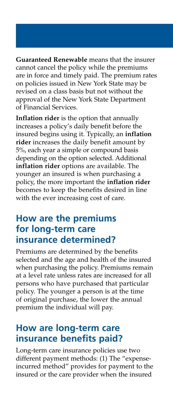**Guaranteed Renewable** means that the insurer cannot cancel the policy while the premiums are in force and timely paid. The premium rates on policies issued in New York State may be revised on a class basis but not without the approval of the New York State Department of Financial Services.

**Inflation rider** is the option that annually increases a policy's daily benefit before the insured begins using it. Typically, an **inflation rider** increases the daily benefit amount by 5%, each year a simple or compound basis depending on the option selected. Additional **inflation rider** options are available. The younger an insured is when purchasing a policy, the more important the **inflation rider** becomes to keep the benefits desired in line with the ever increasing cost of care.

#### **How are the premiums for long-term care insurance determined?**

Premiums are determined by the benefits selected and the age and health of the insured when purchasing the policy. Premiums remain at a level rate unless rates are increased for all persons who have purchased that particular policy. The younger a person is at the time of original purchase, the lower the annual premium the individual will pay.

#### **How are long-term care insurance benefits paid?**

Long-term care insurance policies use two different payment methods: (1) The "expenseincurred method" provides for payment to the insured or the care provider when the insured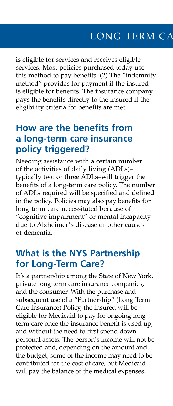is eligible for services and receives eligible services. Most policies purchased today use this method to pay benefits. (2) The "indemnity method" provides for payment if the insured is eligible for benefits. The insurance company pays the benefits directly to the insured if the eligibility criteria for benefits are met.

#### **How are the benefits from a long-term care insurance policy triggered?**

Needing assistance with a certain number of the activities of daily living (ADLs)– typically two or three ADLs–will trigger the benefits of a long-term care policy. The number of ADLs required will be specified and defined in the policy. Policies may also pay benefits for long-term care necessitated because of "cognitive impairment" or mental incapacity due to Alzheimer's disease or other causes of dementia.

#### **What is the NYS Partnership for Long-Term Care?**

It's a partnership among the State of New York, private long-term care insurance companies, and the consumer. With the purchase and subsequent use of a "Partnership" (Long-Term Care Insurance) Policy, the insured will be eligible for Medicaid to pay for ongoing longterm care once the insurance benefit is used up, and without the need to first spend down personal assets. The person's income will not be protected and, depending on the amount and the budget, some of the income may need to be contributed for the cost of care, but Medicaid will pay the balance of the medical expenses.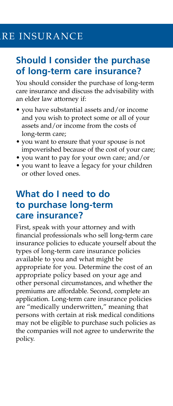# RE INSURANCE

#### **Should I consider the purchase of long-term care insurance?**

You should consider the purchase of long-term care insurance and discuss the advisability with an elder law attorney if:

- you have substantial assets and/or income and you wish to protect some or all of your assets and/or income from the costs of long-term care;
- you want to ensure that your spouse is not impoverished because of the cost of your care;
- you want to pay for your own care; and/or
- you want to leave a legacy for your children or other loved ones.

#### **What do I need to do to purchase long-term care insurance?**

First, speak with your attorney and with financial professionals who sell long-term care insurance policies to educate yourself about the types of long-term care insurance policies available to you and what might be appropriate for you. Determine the cost of an appropriate policy based on your age and other personal circumstances, and whether the premiums are affordable. Second, complete an application. Long-term care insurance policies are "medically underwritten," meaning that persons with certain at risk medical conditions may not be eligible to purchase such policies as the companies will not agree to underwrite the policy.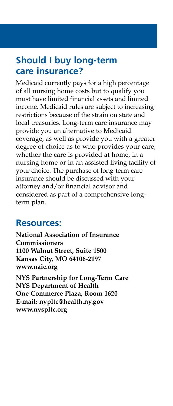#### **Should I buy long-term care insurance?**

Medicaid currently pays for a high percentage of all nursing home costs but to qualify you must have limited financial assets and limited income. Medicaid rules are subject to increasing restrictions because of the strain on state and local treasuries. Long-term care insurance may provide you an alternative to Medicaid coverage, as well as provide you with a greater degree of choice as to who provides your care, whether the care is provided at home, in a nursing home or in an assisted living facility of your choice. The purchase of long-term care insurance should be discussed with your attorney and/or financial advisor and considered as part of a comprehensive longterm plan.

#### **Resources:**

**National Association of Insurance Commissioners 1100 Walnut Street, Suite 1500 Kansas City, MO 64106-2197 www.naic.org NYS Partnership for Long-Term Care NYS Department of Health One Commerce Plaza, Room 1620 E-mail: nypltc@health.ny.gov www.nyspltc.org**